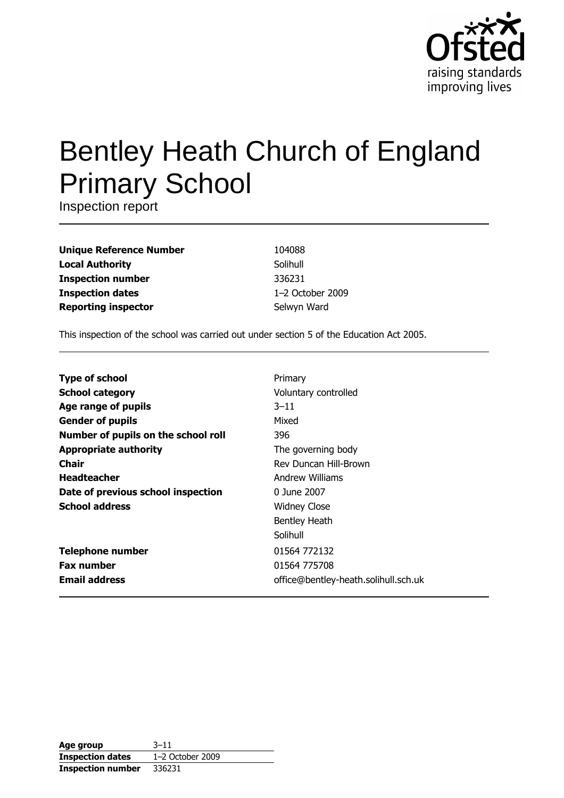

# **Bentley Heath Church of England Primary School**

Inspection report

**Unique Reference Number Local Authority Inspection number Inspection dates Reporting inspector** 

104088 Solihull 336231 1-2 October 2009 Selwyn Ward

This inspection of the school was carried out under section 5 of the Education Act 2005.

| <b>Type of school</b>               | Primary                              |
|-------------------------------------|--------------------------------------|
| <b>School category</b>              | Voluntary controlled                 |
| Age range of pupils                 | $3 - 11$                             |
| <b>Gender of pupils</b>             | Mixed                                |
| Number of pupils on the school roll | 396                                  |
| <b>Appropriate authority</b>        | The governing body                   |
| Chair                               | Rev Duncan Hill-Brown                |
| <b>Headteacher</b>                  | Andrew Williams                      |
| Date of previous school inspection  | 0 June 2007                          |
| <b>School address</b>               | <b>Widney Close</b>                  |
|                                     | <b>Bentley Heath</b>                 |
|                                     | Solihull                             |
| <b>Telephone number</b>             | 01564 772132                         |
| <b>Fax number</b>                   | 01564 775708                         |
| <b>Email address</b>                | office@bentley-heath.solihull.sch.uk |

| Age group                | $3 - 11$         |
|--------------------------|------------------|
| <b>Inspection dates</b>  | 1-2 October 2009 |
| <b>Inspection number</b> | 336231           |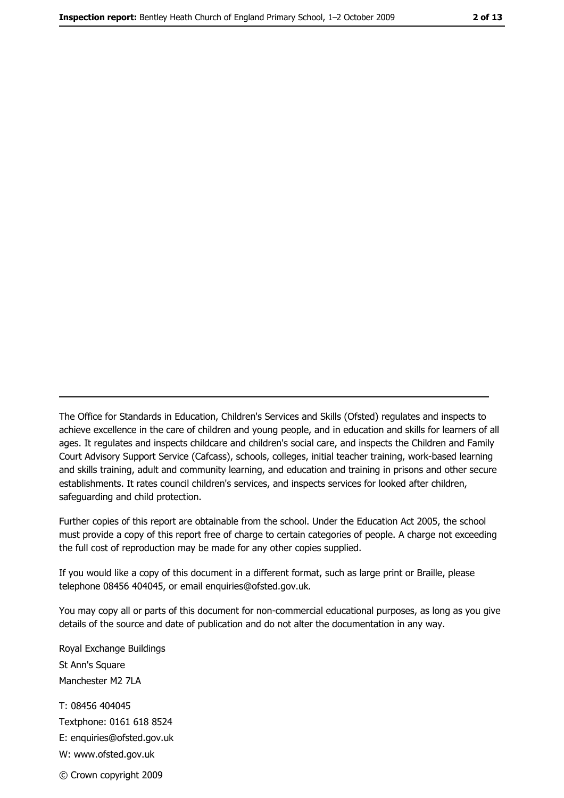The Office for Standards in Education, Children's Services and Skills (Ofsted) regulates and inspects to achieve excellence in the care of children and young people, and in education and skills for learners of all ages. It regulates and inspects childcare and children's social care, and inspects the Children and Family Court Advisory Support Service (Cafcass), schools, colleges, initial teacher training, work-based learning and skills training, adult and community learning, and education and training in prisons and other secure establishments. It rates council children's services, and inspects services for looked after children, safequarding and child protection.

Further copies of this report are obtainable from the school. Under the Education Act 2005, the school must provide a copy of this report free of charge to certain categories of people. A charge not exceeding the full cost of reproduction may be made for any other copies supplied.

If you would like a copy of this document in a different format, such as large print or Braille, please telephone 08456 404045, or email enquiries@ofsted.gov.uk.

You may copy all or parts of this document for non-commercial educational purposes, as long as you give details of the source and date of publication and do not alter the documentation in any way.

Royal Exchange Buildings St Ann's Square Manchester M2 7LA T: 08456 404045 Textphone: 0161 618 8524 E: enquiries@ofsted.gov.uk W: www.ofsted.gov.uk © Crown copyright 2009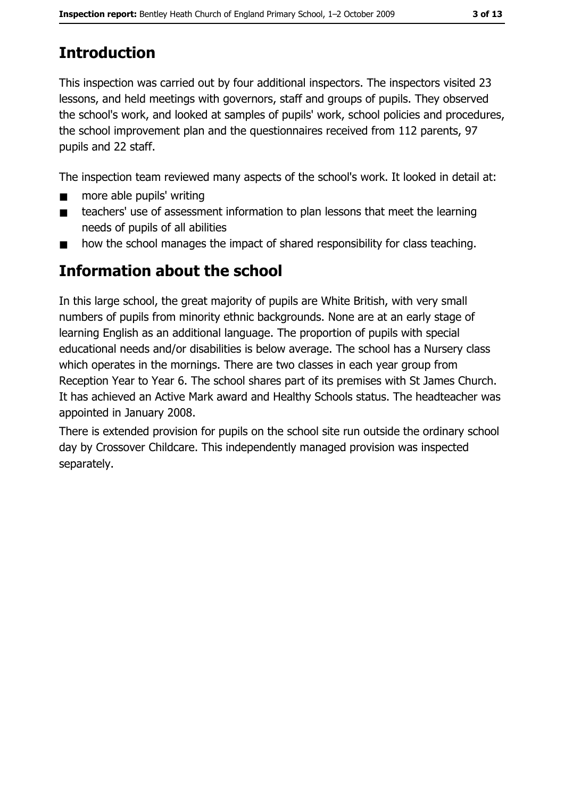# **Introduction**

This inspection was carried out by four additional inspectors. The inspectors visited 23 lessons, and held meetings with governors, staff and groups of pupils. They observed the school's work, and looked at samples of pupils' work, school policies and procedures, the school improvement plan and the questionnaires received from 112 parents, 97 pupils and 22 staff.

The inspection team reviewed many aspects of the school's work. It looked in detail at:

- more able pupils' writing  $\blacksquare$
- teachers' use of assessment information to plan lessons that meet the learning  $\blacksquare$ needs of pupils of all abilities
- how the school manages the impact of shared responsibility for class teaching.  $\blacksquare$

# **Information about the school**

In this large school, the great majority of pupils are White British, with very small numbers of pupils from minority ethnic backgrounds. None are at an early stage of learning English as an additional language. The proportion of pupils with special educational needs and/or disabilities is below average. The school has a Nursery class which operates in the mornings. There are two classes in each year group from Reception Year to Year 6. The school shares part of its premises with St James Church. It has achieved an Active Mark award and Healthy Schools status. The headteacher was appointed in January 2008.

There is extended provision for pupils on the school site run outside the ordinary school day by Crossover Childcare. This independently managed provision was inspected separately.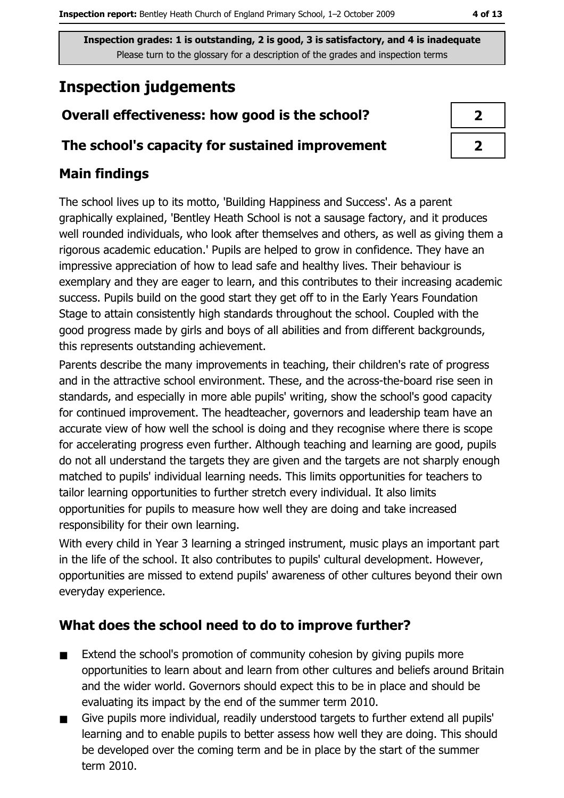4 of 13

Inspection grades: 1 is outstanding, 2 is good, 3 is satisfactory, and 4 is inadequate Please turn to the glossary for a description of the grades and inspection terms

# **Inspection judgements**

# Overall effectiveness: how good is the school?

# The school's capacity for sustained improvement

# **Main findings**

The school lives up to its motto, 'Building Happiness and Success'. As a parent graphically explained, 'Bentley Heath School is not a sausage factory, and it produces well rounded individuals, who look after themselves and others, as well as giving them a rigorous academic education.' Pupils are helped to grow in confidence. They have an impressive appreciation of how to lead safe and healthy lives. Their behaviour is exemplary and they are eager to learn, and this contributes to their increasing academic success. Pupils build on the good start they get off to in the Early Years Foundation Stage to attain consistently high standards throughout the school. Coupled with the good progress made by girls and boys of all abilities and from different backgrounds, this represents outstanding achievement.

Parents describe the many improvements in teaching, their children's rate of progress and in the attractive school environment. These, and the across-the-board rise seen in standards, and especially in more able pupils' writing, show the school's good capacity for continued improvement. The headteacher, governors and leadership team have an accurate view of how well the school is doing and they recognise where there is scope for accelerating progress even further. Although teaching and learning are good, pupils do not all understand the targets they are given and the targets are not sharply enough matched to pupils' individual learning needs. This limits opportunities for teachers to tailor learning opportunities to further stretch every individual. It also limits opportunities for pupils to measure how well they are doing and take increased responsibility for their own learning.

With every child in Year 3 learning a stringed instrument, music plays an important part in the life of the school. It also contributes to pupils' cultural development. However, opportunities are missed to extend pupils' awareness of other cultures beyond their own everyday experience.

# What does the school need to do to improve further?

- Extend the school's promotion of community cohesion by giving pupils more  $\blacksquare$ opportunities to learn about and learn from other cultures and beliefs around Britain and the wider world. Governors should expect this to be in place and should be evaluating its impact by the end of the summer term 2010.
- Give pupils more individual, readily understood targets to further extend all pupils'  $\blacksquare$ learning and to enable pupils to better assess how well they are doing. This should be developed over the coming term and be in place by the start of the summer term 2010.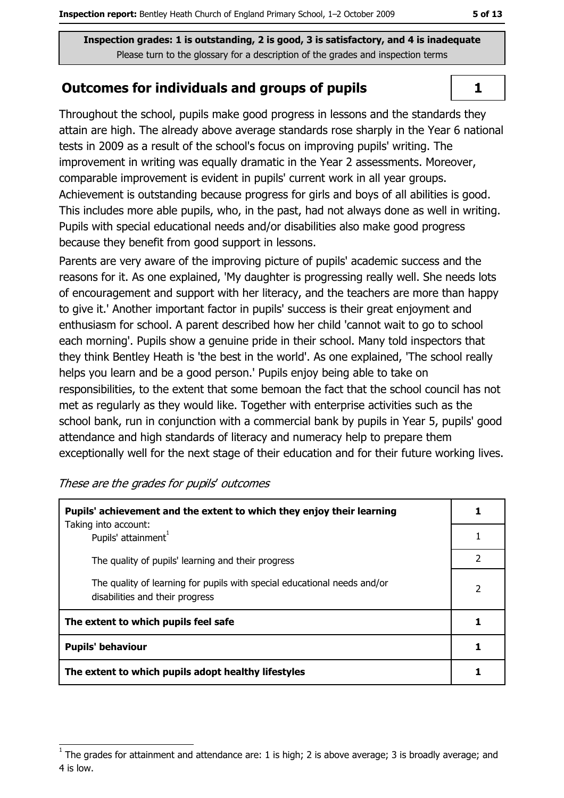Inspection grades: 1 is outstanding, 2 is good, 3 is satisfactory, and 4 is inadequate Please turn to the glossary for a description of the grades and inspection terms

### **Outcomes for individuals and groups of pupils**

Throughout the school, pupils make good progress in lessons and the standards they attain are high. The already above average standards rose sharply in the Year 6 national tests in 2009 as a result of the school's focus on improving pupils' writing. The improvement in writing was equally dramatic in the Year 2 assessments. Moreover, comparable improvement is evident in pupils' current work in all year groups. Achievement is outstanding because progress for girls and boys of all abilities is good. This includes more able pupils, who, in the past, had not always done as well in writing. Pupils with special educational needs and/or disabilities also make good progress because they benefit from good support in lessons.

Parents are very aware of the improving picture of pupils' academic success and the reasons for it. As one explained, 'My daughter is progressing really well. She needs lots of encouragement and support with her literacy, and the teachers are more than happy to give it.' Another important factor in pupils' success is their great enjoyment and enthusiasm for school. A parent described how her child 'cannot wait to go to school each morning'. Pupils show a genuine pride in their school. Many told inspectors that they think Bentley Heath is 'the best in the world'. As one explained, 'The school really helps you learn and be a good person.' Pupils enjoy being able to take on responsibilities, to the extent that some bemoan the fact that the school council has not met as regularly as they would like. Together with enterprise activities such as the school bank, run in conjunction with a commercial bank by pupils in Year 5, pupils' good attendance and high standards of literacy and numeracy help to prepare them exceptionally well for the next stage of their education and for their future working lives.

| Pupils' achievement and the extent to which they enjoy their learning                                       |   |
|-------------------------------------------------------------------------------------------------------------|---|
| Taking into account:<br>Pupils' attainment <sup>1</sup>                                                     |   |
| The quality of pupils' learning and their progress                                                          |   |
| The quality of learning for pupils with special educational needs and/or<br>disabilities and their progress | 2 |
| The extent to which pupils feel safe                                                                        |   |
| <b>Pupils' behaviour</b>                                                                                    |   |
| The extent to which pupils adopt healthy lifestyles                                                         |   |

#### These are the grades for pupils' outcomes

 $\mathbf{1}$ 

The grades for attainment and attendance are: 1 is high; 2 is above average; 3 is broadly average; and 4 is low.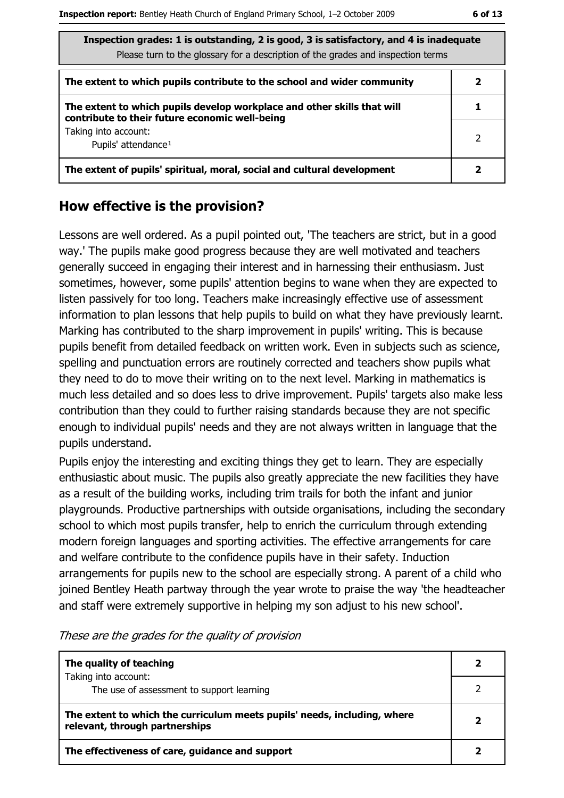| Inspection grades: 1 is outstanding, 2 is good, 3 is satisfactory, and 4 is inadequate<br>Please turn to the glossary for a description of the grades and inspection terms |   |  |
|----------------------------------------------------------------------------------------------------------------------------------------------------------------------------|---|--|
| The extent to which pupils contribute to the school and wider community                                                                                                    |   |  |
| The extent to which pupils develop workplace and other skills that will<br>contribute to their future economic well-being                                                  |   |  |
| Taking into account:<br>Pupils' attendance <sup>1</sup>                                                                                                                    | 2 |  |
| The extent of pupils' spiritual, moral, social and cultural development                                                                                                    | 2 |  |

## How effective is the provision?

Lessons are well ordered. As a pupil pointed out, 'The teachers are strict, but in a good way.' The pupils make good progress because they are well motivated and teachers generally succeed in engaging their interest and in harnessing their enthusiasm. Just sometimes, however, some pupils' attention begins to wane when they are expected to listen passively for too long. Teachers make increasingly effective use of assessment information to plan lessons that help pupils to build on what they have previously learnt. Marking has contributed to the sharp improvement in pupils' writing. This is because pupils benefit from detailed feedback on written work. Even in subjects such as science, spelling and punctuation errors are routinely corrected and teachers show pupils what they need to do to move their writing on to the next level. Marking in mathematics is much less detailed and so does less to drive improvement. Pupils' targets also make less contribution than they could to further raising standards because they are not specific enough to individual pupils' needs and they are not always written in language that the pupils understand.

Pupils enjoy the interesting and exciting things they get to learn. They are especially enthusiastic about music. The pupils also greatly appreciate the new facilities they have as a result of the building works, including trim trails for both the infant and junior playgrounds. Productive partnerships with outside organisations, including the secondary school to which most pupils transfer, help to enrich the curriculum through extending modern foreign languages and sporting activities. The effective arrangements for care and welfare contribute to the confidence pupils have in their safety. Induction arrangements for pupils new to the school are especially strong. A parent of a child who joined Bentley Heath partway through the year wrote to praise the way 'the headteacher and staff were extremely supportive in helping my son adjust to his new school'.

| The quality of teaching                                                                                    |  |
|------------------------------------------------------------------------------------------------------------|--|
| Taking into account:                                                                                       |  |
| The use of assessment to support learning                                                                  |  |
| The extent to which the curriculum meets pupils' needs, including, where<br>relevant, through partnerships |  |
| The effectiveness of care, guidance and support                                                            |  |

These are the grades for the quality of provision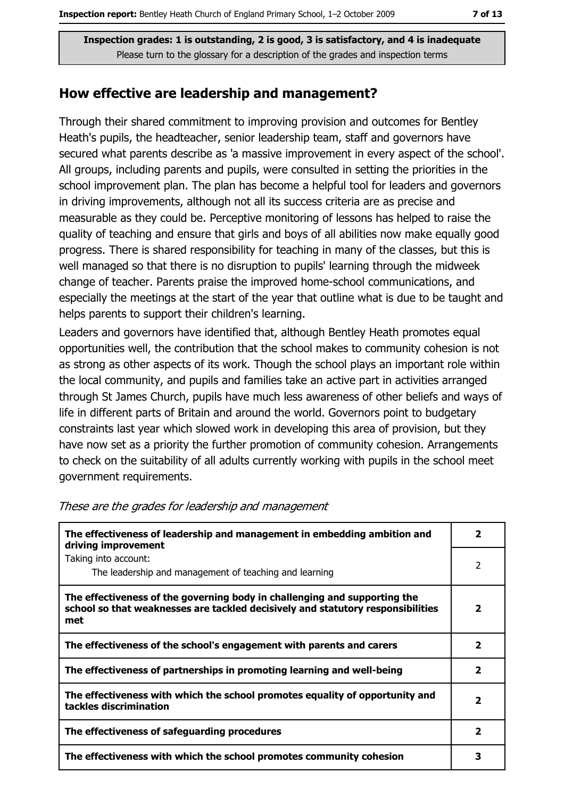Inspection grades: 1 is outstanding, 2 is good, 3 is satisfactory, and 4 is inadequate Please turn to the glossary for a description of the grades and inspection terms

#### How effective are leadership and management?

Through their shared commitment to improving provision and outcomes for Bentley Heath's pupils, the headteacher, senior leadership team, staff and governors have secured what parents describe as 'a massive improvement in every aspect of the school'. All groups, including parents and pupils, were consulted in setting the priorities in the school improvement plan. The plan has become a helpful tool for leaders and governors in driving improvements, although not all its success criteria are as precise and measurable as they could be. Perceptive monitoring of lessons has helped to raise the quality of teaching and ensure that girls and boys of all abilities now make equally good progress. There is shared responsibility for teaching in many of the classes, but this is well managed so that there is no disruption to pupils' learning through the midweek change of teacher. Parents praise the improved home-school communications, and especially the meetings at the start of the year that outline what is due to be taught and helps parents to support their children's learning.

Leaders and governors have identified that, although Bentley Heath promotes equal opportunities well, the contribution that the school makes to community cohesion is not as strong as other aspects of its work. Though the school plays an important role within the local community, and pupils and families take an active part in activities arranged through St James Church, pupils have much less awareness of other beliefs and ways of life in different parts of Britain and around the world. Governors point to budgetary constraints last year which slowed work in developing this area of provision, but they have now set as a priority the further promotion of community cohesion. Arrangements to check on the suitability of all adults currently working with pupils in the school meet government requirements.

| The effectiveness of leadership and management in embedding ambition and<br>driving improvement                                                                     | 2                       |
|---------------------------------------------------------------------------------------------------------------------------------------------------------------------|-------------------------|
| Taking into account:<br>The leadership and management of teaching and learning                                                                                      | 2                       |
| The effectiveness of the governing body in challenging and supporting the<br>school so that weaknesses are tackled decisively and statutory responsibilities<br>met | 2                       |
| The effectiveness of the school's engagement with parents and carers                                                                                                | $\overline{\mathbf{2}}$ |
| The effectiveness of partnerships in promoting learning and well-being                                                                                              | $\mathbf{2}$            |
| The effectiveness with which the school promotes equality of opportunity and<br>tackles discrimination                                                              | 2                       |
| The effectiveness of safeguarding procedures                                                                                                                        | $\mathbf{2}$            |
| The effectiveness with which the school promotes community cohesion                                                                                                 |                         |

#### These are the grades for leadership and management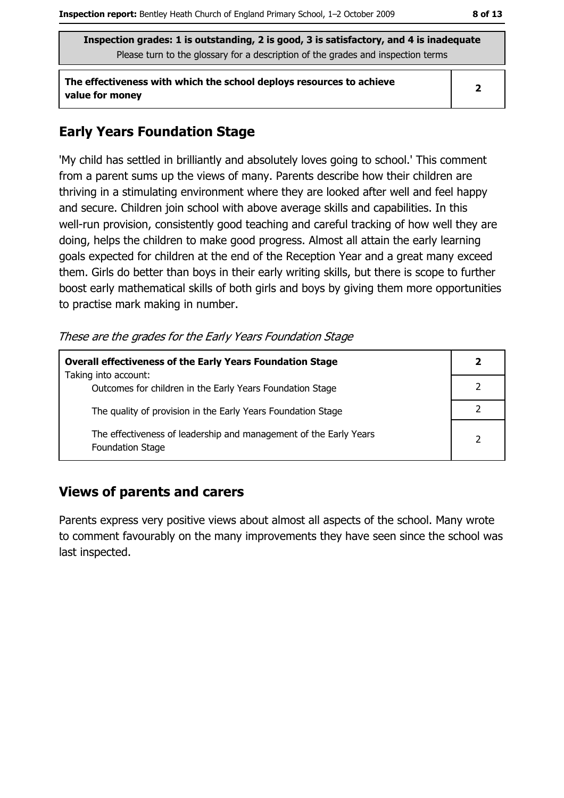Inspection grades: 1 is outstanding, 2 is good, 3 is satisfactory, and 4 is inadequate Please turn to the glossary for a description of the grades and inspection terms

The effectiveness with which the school deploys resources to achieve value for money

## **Early Years Foundation Stage**

'My child has settled in brilliantly and absolutely loves going to school.' This comment from a parent sums up the views of many. Parents describe how their children are thriving in a stimulating environment where they are looked after well and feel happy and secure. Children join school with above average skills and capabilities. In this well-run provision, consistently good teaching and careful tracking of how well they are doing, helps the children to make good progress. Almost all attain the early learning goals expected for children at the end of the Reception Year and a great many exceed them. Girls do better than boys in their early writing skills, but there is scope to further boost early mathematical skills of both girls and boys by giving them more opportunities to practise mark making in number.

These are the grades for the Early Years Foundation Stage

| <b>Overall effectiveness of the Early Years Foundation Stage</b><br>Taking into account:     | 2                        |
|----------------------------------------------------------------------------------------------|--------------------------|
| Outcomes for children in the Early Years Foundation Stage                                    |                          |
| The quality of provision in the Early Years Foundation Stage                                 |                          |
| The effectiveness of leadership and management of the Early Years<br><b>Foundation Stage</b> | $\overline{\phantom{a}}$ |

## **Views of parents and carers**

Parents express very positive views about almost all aspects of the school. Many wrote to comment favourably on the many improvements they have seen since the school was last inspected.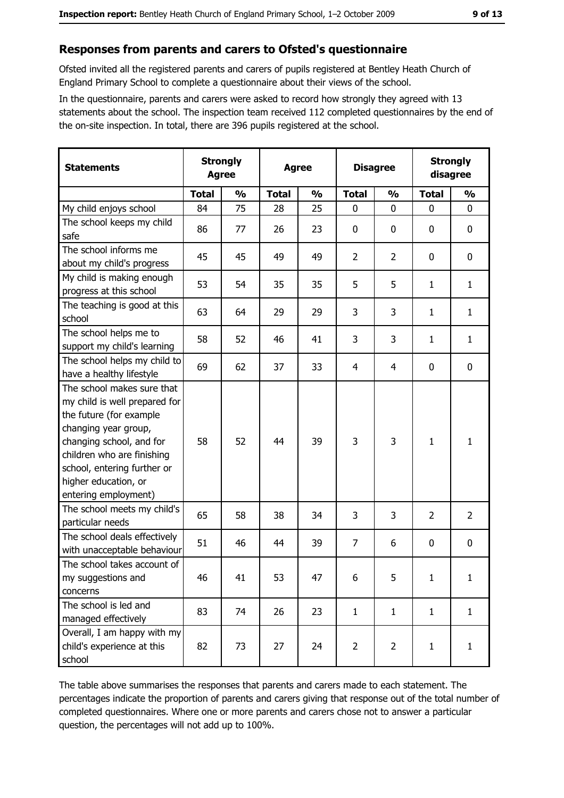# Responses from parents and carers to Ofsted's questionnaire

Ofsted invited all the registered parents and carers of pupils registered at Bentley Heath Church of England Primary School to complete a questionnaire about their views of the school.

In the questionnaire, parents and carers were asked to record how strongly they agreed with 13 statements about the school. The inspection team received 112 completed questionnaires by the end of the on-site inspection. In total, there are 396 pupils registered at the school.

| <b>Statements</b>                                                                                                                                                                                                                                       | <b>Strongly</b><br><b>Agree</b> |               | <b>Agree</b> |               | <b>Disagree</b> |                | <b>Strongly</b><br>disagree |                |
|---------------------------------------------------------------------------------------------------------------------------------------------------------------------------------------------------------------------------------------------------------|---------------------------------|---------------|--------------|---------------|-----------------|----------------|-----------------------------|----------------|
|                                                                                                                                                                                                                                                         | <b>Total</b>                    | $\frac{1}{2}$ | <b>Total</b> | $\frac{0}{0}$ | <b>Total</b>    | $\frac{1}{2}$  | <b>Total</b>                | $\frac{1}{2}$  |
| My child enjoys school                                                                                                                                                                                                                                  | 84                              | 75            | 28           | 25            | 0               | $\Omega$       | $\Omega$                    | $\Omega$       |
| The school keeps my child<br>safe                                                                                                                                                                                                                       | 86                              | 77            | 26           | 23            | $\mathbf 0$     | 0              | 0                           | 0              |
| The school informs me<br>about my child's progress                                                                                                                                                                                                      | 45                              | 45            | 49           | 49            | $\overline{2}$  | $\overline{2}$ | 0                           | 0              |
| My child is making enough<br>progress at this school                                                                                                                                                                                                    | 53                              | 54            | 35           | 35            | 5               | 5              | 1                           | $\mathbf{1}$   |
| The teaching is good at this<br>school                                                                                                                                                                                                                  | 63                              | 64            | 29           | 29            | 3               | 3              | 1                           | $\mathbf{1}$   |
| The school helps me to<br>support my child's learning                                                                                                                                                                                                   | 58                              | 52            | 46           | 41            | 3               | 3              | 1                           | $\mathbf{1}$   |
| The school helps my child to<br>have a healthy lifestyle                                                                                                                                                                                                | 69                              | 62            | 37           | 33            | $\overline{4}$  | 4              | 0                           | $\mathbf 0$    |
| The school makes sure that<br>my child is well prepared for<br>the future (for example<br>changing year group,<br>changing school, and for<br>children who are finishing<br>school, entering further or<br>higher education, or<br>entering employment) | 58                              | 52            | 44           | 39            | 3               | 3              | $\mathbf{1}$                | $\mathbf{1}$   |
| The school meets my child's<br>particular needs                                                                                                                                                                                                         | 65                              | 58            | 38           | 34            | 3               | 3              | $\overline{2}$              | $\overline{2}$ |
| The school deals effectively<br>with unacceptable behaviour                                                                                                                                                                                             | 51                              | 46            | 44           | 39            | $\overline{7}$  | 6              | 0                           | $\mathbf 0$    |
| The school takes account of<br>my suggestions and<br>concerns                                                                                                                                                                                           | 46                              | 41            | 53           | 47            | 6               | 5              | $\mathbf{1}$                | $\mathbf{1}$   |
| The school is led and<br>managed effectively                                                                                                                                                                                                            | 83                              | 74            | 26           | 23            | $\mathbf{1}$    | $\mathbf{1}$   | $\mathbf{1}$                | $\mathbf{1}$   |
| Overall, I am happy with my<br>child's experience at this<br>school                                                                                                                                                                                     | 82                              | 73            | 27           | 24            | $\overline{2}$  | $\overline{2}$ | $\mathbf{1}$                | $\mathbf{1}$   |

The table above summarises the responses that parents and carers made to each statement. The percentages indicate the proportion of parents and carers giving that response out of the total number of completed questionnaires. Where one or more parents and carers chose not to answer a particular question, the percentages will not add up to 100%.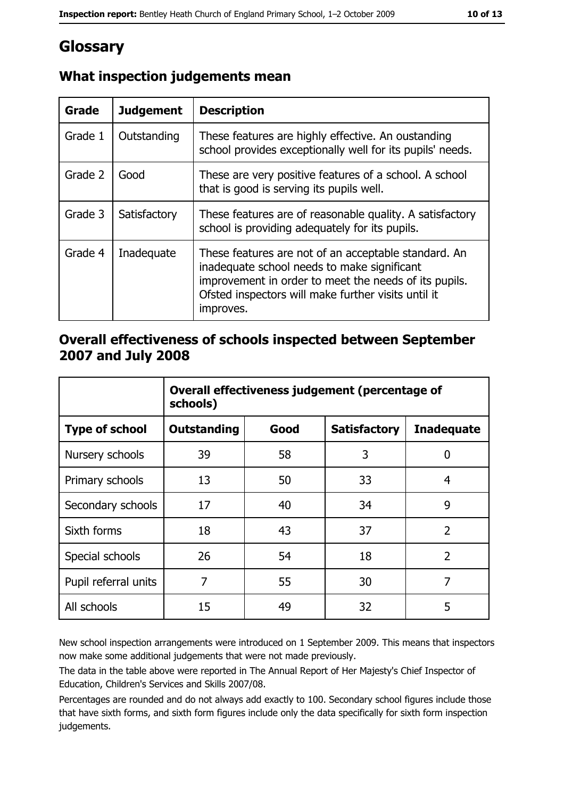# Glossary

| Grade   | <b>Judgement</b> | <b>Description</b>                                                                                                                                                                                                               |
|---------|------------------|----------------------------------------------------------------------------------------------------------------------------------------------------------------------------------------------------------------------------------|
| Grade 1 | Outstanding      | These features are highly effective. An oustanding<br>school provides exceptionally well for its pupils' needs.                                                                                                                  |
| Grade 2 | Good             | These are very positive features of a school. A school<br>that is good is serving its pupils well.                                                                                                                               |
| Grade 3 | Satisfactory     | These features are of reasonable quality. A satisfactory<br>school is providing adequately for its pupils.                                                                                                                       |
| Grade 4 | Inadequate       | These features are not of an acceptable standard. An<br>inadequate school needs to make significant<br>improvement in order to meet the needs of its pupils.<br>Ofsted inspectors will make further visits until it<br>improves. |

# What inspection judgements mean

## Overall effectiveness of schools inspected between September 2007 and July 2008

|                       | Overall effectiveness judgement (percentage of<br>schools) |      |                     |                   |
|-----------------------|------------------------------------------------------------|------|---------------------|-------------------|
| <b>Type of school</b> | Outstanding                                                | Good | <b>Satisfactory</b> | <b>Inadequate</b> |
| Nursery schools       | 39                                                         | 58   | 3                   | 0                 |
| Primary schools       | 13                                                         | 50   | 33                  | 4                 |
| Secondary schools     | 17                                                         | 40   | 34                  | 9                 |
| Sixth forms           | 18                                                         | 43   | 37                  | $\overline{2}$    |
| Special schools       | 26                                                         | 54   | 18                  | $\overline{2}$    |
| Pupil referral units  | 7                                                          | 55   | 30                  | 7                 |
| All schools           | 15                                                         | 49   | 32                  | 5                 |

New school inspection arrangements were introduced on 1 September 2009. This means that inspectors now make some additional judgements that were not made previously.

The data in the table above were reported in The Annual Report of Her Majesty's Chief Inspector of Education, Children's Services and Skills 2007/08.

Percentages are rounded and do not always add exactly to 100. Secondary school figures include those that have sixth forms, and sixth form figures include only the data specifically for sixth form inspection judgements.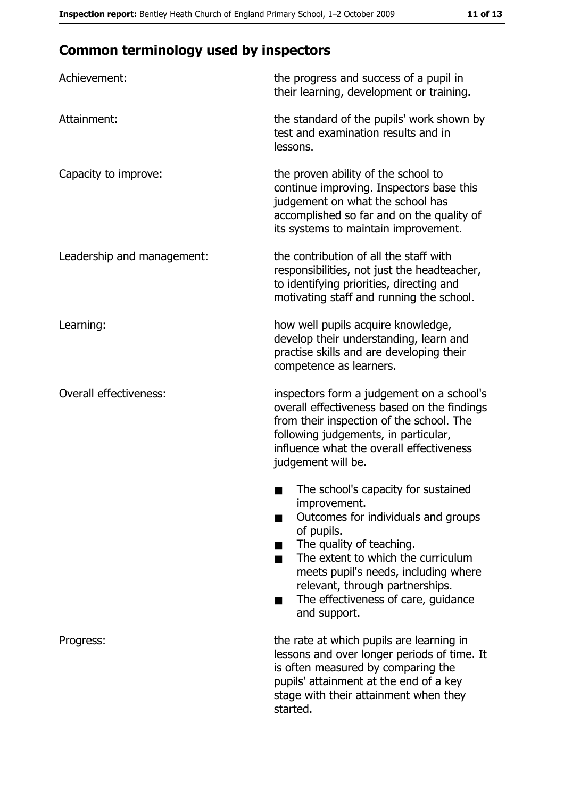# **Common terminology used by inspectors**

| Achievement:                  | the progress and success of a pupil in<br>their learning, development or training.                                                                                                                                                                                                                           |
|-------------------------------|--------------------------------------------------------------------------------------------------------------------------------------------------------------------------------------------------------------------------------------------------------------------------------------------------------------|
| Attainment:                   | the standard of the pupils' work shown by<br>test and examination results and in<br>lessons.                                                                                                                                                                                                                 |
| Capacity to improve:          | the proven ability of the school to<br>continue improving. Inspectors base this<br>judgement on what the school has<br>accomplished so far and on the quality of<br>its systems to maintain improvement.                                                                                                     |
| Leadership and management:    | the contribution of all the staff with<br>responsibilities, not just the headteacher,<br>to identifying priorities, directing and<br>motivating staff and running the school.                                                                                                                                |
| Learning:                     | how well pupils acquire knowledge,<br>develop their understanding, learn and<br>practise skills and are developing their<br>competence as learners.                                                                                                                                                          |
| <b>Overall effectiveness:</b> | inspectors form a judgement on a school's<br>overall effectiveness based on the findings<br>from their inspection of the school. The<br>following judgements, in particular,<br>influence what the overall effectiveness<br>judgement will be.                                                               |
|                               | The school's capacity for sustained<br>improvement.<br>Outcomes for individuals and groups<br>of pupils.<br>The quality of teaching.<br>The extent to which the curriculum<br>meets pupil's needs, including where<br>relevant, through partnerships.<br>The effectiveness of care, guidance<br>and support. |
| Progress:                     | the rate at which pupils are learning in<br>lessons and over longer periods of time. It<br>is often measured by comparing the<br>pupils' attainment at the end of a key<br>stage with their attainment when they<br>started.                                                                                 |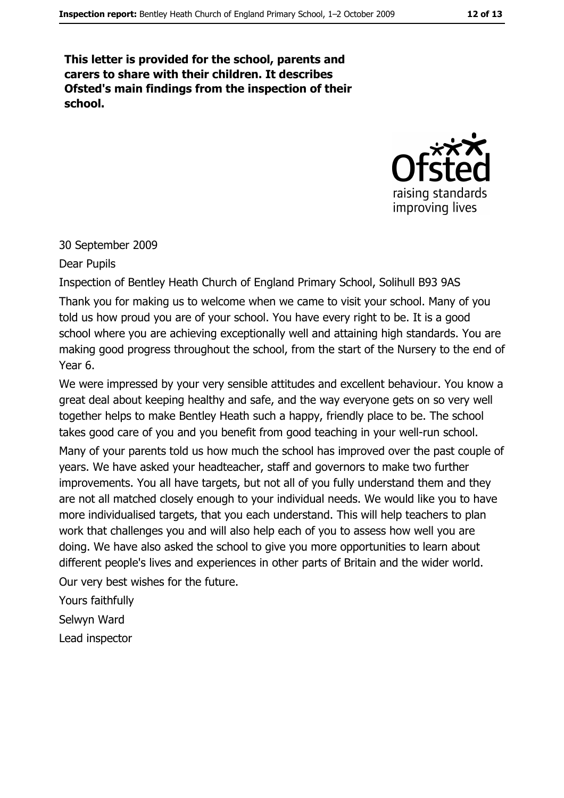This letter is provided for the school, parents and carers to share with their children. It describes Ofsted's main findings from the inspection of their school.



#### 30 September 2009

Dear Pupils

Inspection of Bentley Heath Church of England Primary School, Solihull B93 9AS Thank you for making us to welcome when we came to visit your school. Many of you told us how proud you are of your school. You have every right to be. It is a good school where you are achieving exceptionally well and attaining high standards. You are making good progress throughout the school, from the start of the Nursery to the end of Year 6.

We were impressed by your very sensible attitudes and excellent behaviour. You know a great deal about keeping healthy and safe, and the way everyone gets on so very well together helps to make Bentley Heath such a happy, friendly place to be. The school takes good care of you and you benefit from good teaching in your well-run school. Many of your parents told us how much the school has improved over the past couple of years. We have asked your headteacher, staff and governors to make two further improvements. You all have targets, but not all of you fully understand them and they are not all matched closely enough to your individual needs. We would like you to have more individualised targets, that you each understand. This will help teachers to plan work that challenges you and will also help each of you to assess how well you are doing. We have also asked the school to give you more opportunities to learn about different people's lives and experiences in other parts of Britain and the wider world. Our very best wishes for the future.

Yours faithfully Selwyn Ward

Lead inspector